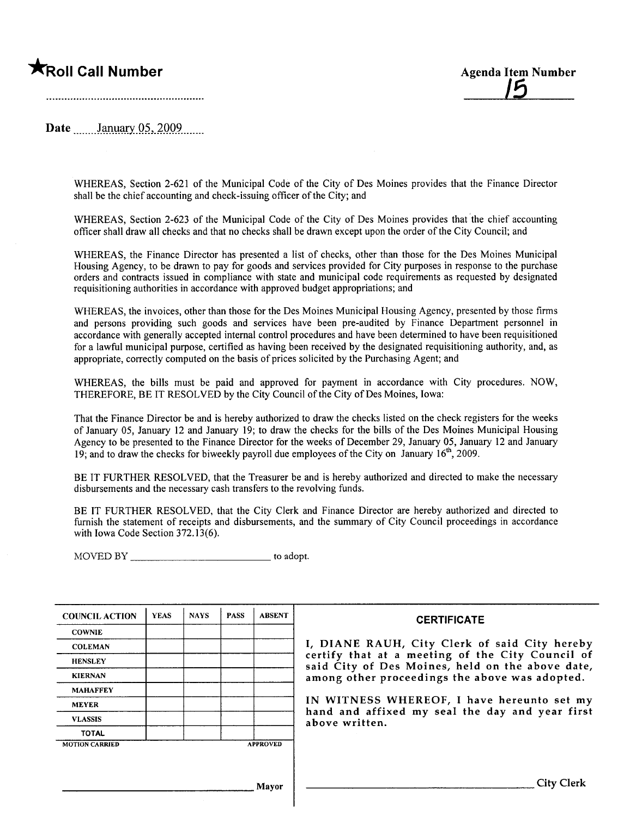# **\***Roll Call Number Agenda Item Number

/5

Date .m\_\_.Jai:W~Xy'.Q~,.2l)\_Q\_9...\_....

WHEREAS, Section 2-621 of the Municipal Code of the City of Des Moines provides that the Finance Director shall be the chief accounting and check-issuing officer of the City; and

WHEREAS, Section 2-623 of the Municipal Code of the City of Des Moines provides that the chief accounting offcer shall draw all checks and that no checks shall be drawn except upon the order of the City Council; and

WHEREAS, the Finance Director has presented a list of checks, other than those for the Des Moines Municipal Housing Agency, to be drawn to pay for goods and services provided for City purposes in response to the purchase orders and contracts issued in compliance with state and municipal code requirements as requested by designated requisitioning authorities in accordance with approved budget appropriations; and

WHEREAS, the invoices, other than those for the Des Moines Municipal Housing Agency, presented by those firms and persons providing such goods and services have been pre-audited by Finance Department personnel in accordance with generally accepted internal control procedures and have been determined to have been requisitioned for a lawful municipal purpose, certified as having been received by the designated requisitioning authority, and, as appropriate, correctly computed on the basis of prices solicited by the Purchasing Agent; and

WHEREAS, the bils must be paid and approved for payment in accordance with City procedures. NOW, THEREFORE, BE IT RESOLVED by the City Council of the City of Des Moines, Iowa:

That the Finance Director be and is hereby authorized to draw the checks listed on the check registers for the weeks of January 05, January 12 and January 19; to draw the checks for the bills of the Des Moines Municipal Housing Agency to be presented to the Finance Director for the weeks of December 29, January 05, January 12 and January 19; and to draw the checks for biweekly payroll due employees of the City on January  $16<sup>th</sup>$ , 2009.

BE IT FURTHER RESOLVED, that the Treasurer be and is hereby authorized and directed to make the necessary disbursements and the necessary cash transfers to the revolving funds.

BE IT FURTHER RESOLVED, that the City Clerk and Finance Director are hereby authorized and directed to furnish the statement of receipts and disbursements, and the summary of City Council proceedings in accordance with Iowa Code Section 372.13(6).

MOVED BY to adopt.

| <b>COUNCIL ACTION</b> | <b>YEAS</b> | <b>NAYS</b> | <b>PASS</b> | <b>ABSENT</b>   | <b>CERTIFICATE</b>                                                                                   |
|-----------------------|-------------|-------------|-------------|-----------------|------------------------------------------------------------------------------------------------------|
| <b>COWNIE</b>         |             |             |             |                 |                                                                                                      |
| <b>COLEMAN</b>        |             |             |             |                 | I, DIANE RAUH, City Clerk of said City hereby                                                        |
| <b>HENSLEY</b>        |             |             |             |                 | certify that at a meeting of the City Council of<br>said City of Des Moines, held on the above date, |
| <b>KIERNAN</b>        |             |             |             |                 | among other proceedings the above was adopted.                                                       |
| <b>MAHAFFEY</b>       |             |             |             |                 |                                                                                                      |
| <b>MEYER</b>          |             |             |             |                 | IN WITNESS WHEREOF, I have hereunto set my                                                           |
| <b>VLASSIS</b>        |             |             |             |                 | hand and affixed my seal the day and year first<br>above written.                                    |
| <b>TOTAL</b>          |             |             |             |                 |                                                                                                      |
| <b>MOTION CARRIED</b> |             |             |             | <b>APPROVED</b> |                                                                                                      |
|                       |             |             |             |                 |                                                                                                      |
|                       |             |             |             | Mavor           | <b>City Clerk</b>                                                                                    |
|                       |             |             |             |                 |                                                                                                      |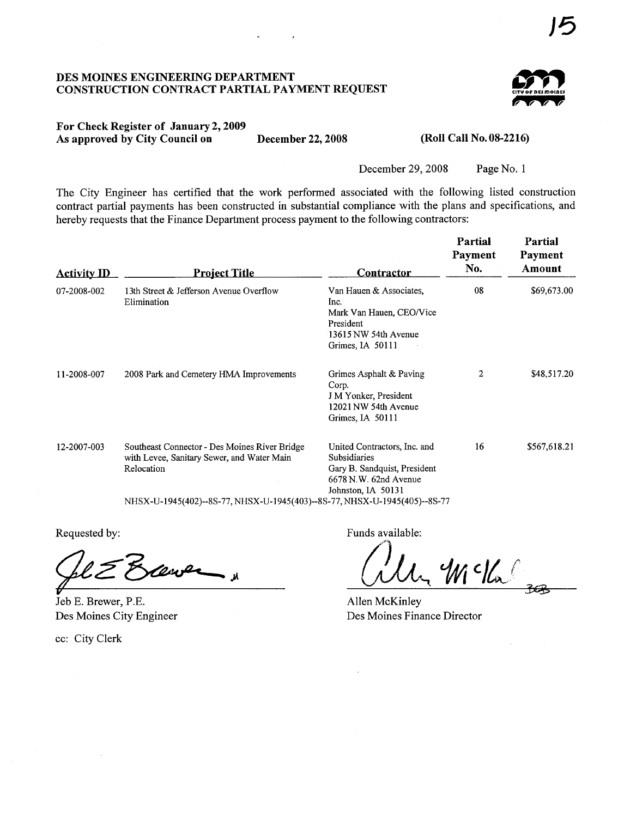### DES MOINES ENGINEERING DEPARTMENT CONSTRUCTION CONTRACT PARTIAL PAYMENT REQUEST



# For Check Register of January 2, 2009 As approved by City Council on December 22, 2008 (Roll Call No. 08-2216)

December 29, 2008 Page No. 1

The City Engineer has certified that the work performed associated with the following listed construction contract partial payments has been constructed in substantial compliance with the plans and specifications, and hereby requests that the Finance Department process payment to the following contractors:

| <b>Activity ID</b> | Project Title                                                                                                                                                                          | <b>Contractor</b>                                                                                                                  | Partial<br>Payment<br>No. | Partial<br>Payment<br>Amount |
|--------------------|----------------------------------------------------------------------------------------------------------------------------------------------------------------------------------------|------------------------------------------------------------------------------------------------------------------------------------|---------------------------|------------------------------|
| 07-2008-002        | 13th Street & Jefferson Avenue Overflow<br>Elimination                                                                                                                                 | Van Hauen & Associates,<br>Inc.<br>Mark Van Hauen, CEO/Vice<br>President<br>13615 NW 54th Avenue<br>Grimes, IA 50111               | 08                        | \$69,673.00                  |
| 11-2008-007        | 2008 Park and Cemetery HMA Improvements                                                                                                                                                | Grimes Asphalt & Paving<br>Corp.<br>J M Yonker, President<br>12021 NW 54th Avenue<br>Grimes, IA 50111                              | 2                         | \$48,517.20                  |
| 12-2007-003        | Southeast Connector - Des Moines River Bridge<br>with Levee, Sanitary Sewer, and Water Main<br>Relocation<br>NHSX-U-1945(402)--8S-77, NHSX-U-1945(403)--8S-77, NHSX-U-1945(405)--8S-77 | United Contractors, Inc. and<br><b>Subsidiaries</b><br>Gary B. Sandquist, President<br>6678 N.W. 62nd Avenue<br>Johnston, IA 50131 | 16                        | \$567,618.21                 |

Requested by:

Sel E Everner

Jeb E. Brewer, P.E. Des Moines City Engineer

cc: City Clerk

Funds available:

 $\int$  $4$  c/h

Allen McKinley Des Moines Finance Director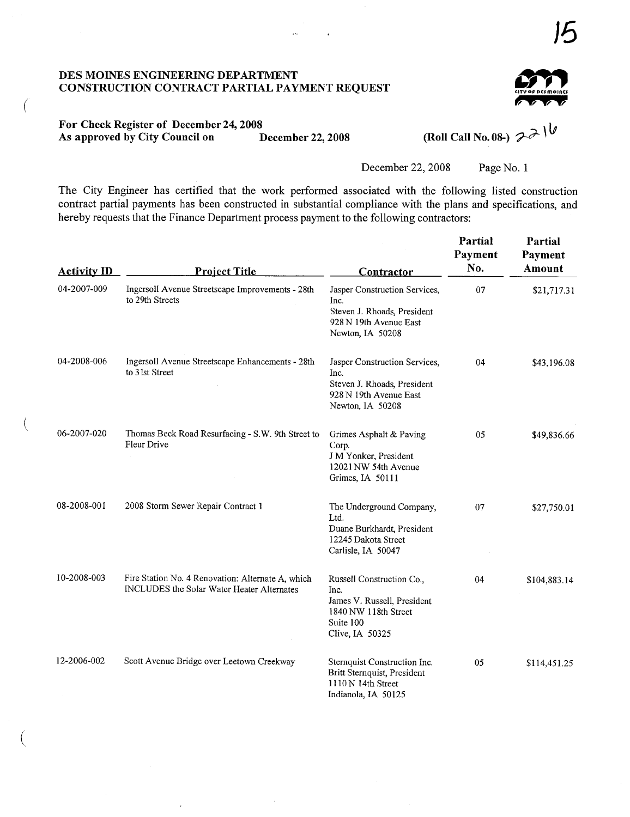## DES MOINS ENGINEERIG DEPARTMENT CONSTRUCTION CONTRACT PARTIAL PAYMENT REQUEST



# For Check Register of December 24, 2008<br>As approved by City Council on December 22, 2008 As approved by City Council on December 22, 2008 (Roll Call No. 08-)  $2\lambda$

 $\overline{a}$ 

(

 $\ddot{\phantom{a}}$ 

December 22, 2008 Page No. 1

The City Engineer has certified that the work performed associated with the following listed construction contract partial payments has been constructed in substantial compliance with the plans and specifications, and hereby requests that the Finance Department process payment to the following contractors:

| <b>Activity ID</b> | <b>Project Title</b>                                                                            | <b>Contractor</b>                                                                                                        | Partial<br>Payment<br>No. | Partial<br>Payment<br>Amount |
|--------------------|-------------------------------------------------------------------------------------------------|--------------------------------------------------------------------------------------------------------------------------|---------------------------|------------------------------|
| 04-2007-009        | Ingersoll Avenue Streetscape Improvements - 28th<br>to 29th Streets                             | Jasper Construction Services,<br>Inc.<br>Steven J. Rhoads, President<br>928 N 19th Avenue East<br>Newton, IA 50208       | 07                        | \$21,717.31                  |
| 04-2008-006        | Ingersoll Avenue Streetscape Enhancements - 28th<br>to 3 1st Street                             | Jasper Construction Services,<br>Inc.<br>Steven J. Rhoads, President<br>928 N 19th Avenue East<br>Newton, IA 50208       | 04                        | \$43,196.08                  |
| 06-2007-020        | Thomas Beck Road Resurfacing - S.W. 9th Street to<br>Fleur Drive                                | Grimes Asphalt & Paving<br>Corp.<br>J M Yonker, President<br>12021 NW 54th Avenue<br>Grimes, IA 50111                    | 05                        | \$49,836.66                  |
| 08-2008-001        | 2008 Storm Sewer Repair Contract 1                                                              | The Underground Company,<br>Ltd.<br>Duane Burkhardt, President<br>12245 Dakota Street<br>Carlisle, IA 50047              | 07                        | \$27,750.01                  |
| 10-2008-003        | Fire Station No. 4 Renovation: Alternate A, which<br>INCLUDES the Solar Water Heater Alternates | Russell Construction Co.,<br>Inc.<br>James V. Russell, President<br>1840 NW 118th Street<br>Suite 100<br>Clive, IA 50325 | 04                        | \$104,883.14                 |
| 12-2006-002        | Scott Avenue Bridge over Leetown Creekway                                                       | Sternquist Construction Inc.<br>Britt Sternquist, President<br>1110 N 14th Street<br>Indianola, IA 50125                 | 05                        | \$114,451.25                 |

)5